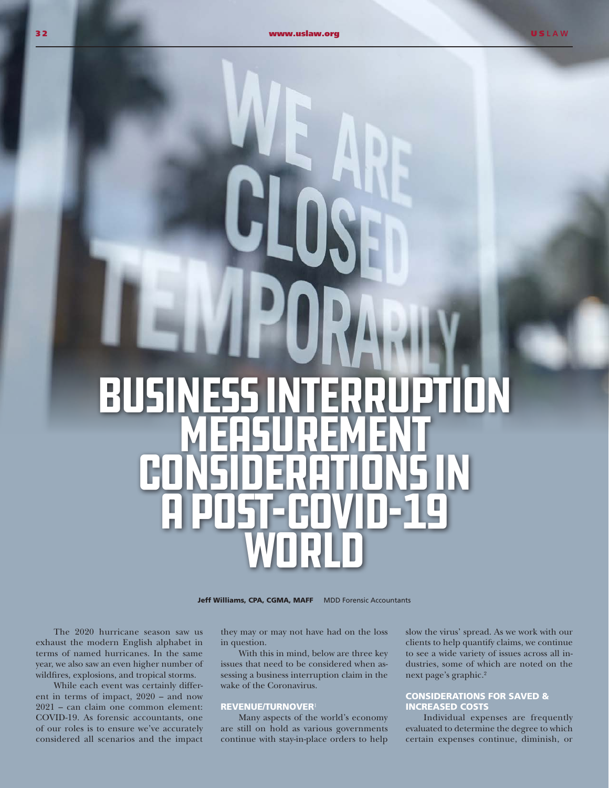# Business Interruption **MEASUREMENT** Considerations in a Post-COVID-19 **WORLD**

Jeff Williams, CPA, CGMA, MAFF MDD Forensic Accountants

The 2020 hurricane season saw us exhaust the modern English alphabet in terms of named hurricanes. In the same year, we also saw an even higher number of wildfires, explosions, and tropical storms.

While each event was certainly different in terms of impact, 2020 – and now 2021 – can claim one common element: COVID-19. As forensic accountants, one of our roles is to ensure we've accurately considered all scenarios and the impact

they may or may not have had on the loss in question.

With this in mind, below are three key issues that need to be considered when assessing a business interruption claim in the wake of the Coronavirus.

### REVENUE/TURNOVER<sup>1</sup>

Many aspects of the world's economy are still on hold as various governments continue with stay-in-place orders to help slow the virus' spread. As we work with our clients to help quantify claims, we continue to see a wide variety of issues across all industries, some of which are noted on the next page's graphic.2

### CONSIDERATIONS FOR SAVED & INCREASED COSTS

Individual expenses are frequently evaluated to determine the degree to which certain expenses continue, diminish, or